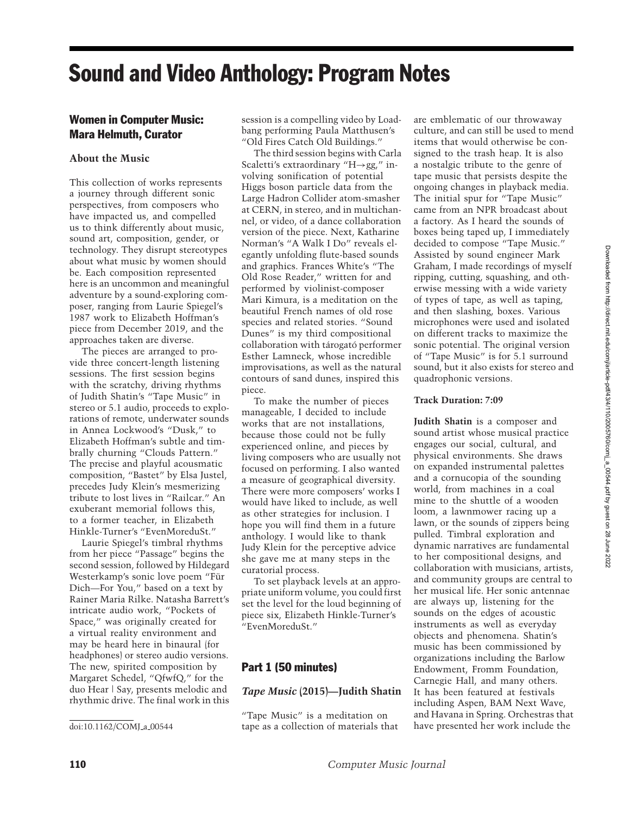# Sound and Video Anthology: Program Notes

# Women in Computer Music: Mara Helmuth, Curator

# **About the Music**

This collection of works represents a journey through different sonic perspectives, from composers who have impacted us, and compelled us to think differently about music, sound art, composition, gender, or technology. They disrupt stereotypes about what music by women should be. Each composition represented here is an uncommon and meaningful adventure by a sound-exploring composer, ranging from Laurie Spiegel's 1987 work to Elizabeth Hoffman's piece from December 2019, and the approaches taken are diverse.

The pieces are arranged to provide three concert-length listening sessions. The first session begins with the scratchy, driving rhythms of Judith Shatin's "Tape Music" in stereo or 5.1 audio, proceeds to explorations of remote, underwater sounds in Annea Lockwood's "Dusk," to Elizabeth Hoffman's subtle and timbrally churning "Clouds Pattern." The precise and playful acousmatic composition, "Bastet" by Elsa Justel, precedes Judy Klein's mesmerizing tribute to lost lives in "Railcar." An exuberant memorial follows this, to a former teacher, in Elizabeth Hinkle-Turner's "EvenMoreduSt."

Laurie Spiegel's timbral rhythms from her piece "Passage" begins the second session, followed by Hildegard Westerkamp's sonic love poem "Fur¨ Dich—For You," based on a text by Rainer Maria Rilke. Natasha Barrett's intricate audio work, "Pockets of Space," was originally created for a virtual reality environment and may be heard here in binaural (for headphones) or stereo audio versions. The new, spirited composition by Margaret Schedel, "QfwfQ," for the duo Hear | Say, presents melodic and rhythmic drive. The final work in this

session is a compelling video by Loadbang performing Paula Matthusen's "Old Fires Catch Old Buildings."

The third session begins with Carla Scaletti's extraordinary "H→gg," involving sonification of potential Higgs boson particle data from the Large Hadron Collider atom-smasher at CERN, in stereo, and in multichannel, or video, of a dance collaboration version of the piece. Next, Katharine Norman's "A Walk I Do" reveals elegantly unfolding flute-based sounds and graphics. Frances White's "The Old Rose Reader," written for and performed by violinist-composer Mari Kimura, is a meditation on the beautiful French names of old rose species and related stories. "Sound Dunes" is my third compositional collaboration with tárogató performer Esther Lamneck, whose incredible improvisations, as well as the natural contours of sand dunes, inspired this piece.

To make the number of pieces manageable, I decided to include works that are not installations, because those could not be fully experienced online, and pieces by living composers who are usually not focused on performing. I also wanted a measure of geographical diversity. There were more composers' works I would have liked to include, as well as other strategies for inclusion. I hope you will find them in a future anthology. I would like to thank Judy Klein for the perceptive advice she gave me at many steps in the curatorial process.

To set playback levels at an appropriate uniform volume, you could first set the level for the loud beginning of piece six, Elizabeth Hinkle-Turner's "EvenMoreduSt."

# Part 1 (50 minutes)

## *Tape Music* **(2015)—Judith Shatin**

"Tape Music" is a meditation on tape as a collection of materials that culture, and can still be used to mend items that would otherwise be consigned to the trash heap. It is also a nostalgic tribute to the genre of tape music that persists despite the ongoing changes in playback media. The initial spur for "Tape Music" came from an NPR broadcast about a factory. As I heard the sounds of boxes being taped up, I immediately decided to compose "Tape Music." Assisted by sound engineer Mark Graham, I made recordings of myself ripping, cutting, squashing, and otherwise messing with a wide variety of types of tape, as well as taping, and then slashing, boxes. Various microphones were used and isolated on different tracks to maximize the sonic potential. The original version of "Tape Music" is for 5.1 surround sound, but it also exists for stereo and quadrophonic versions.

# **Track Duration: 7:09**

**Judith Shatin** is a composer and sound artist whose musical practice engages our social, cultural, and physical environments. She draws on expanded instrumental palettes and a cornucopia of the sounding world, from machines in a coal mine to the shuttle of a wooden loom, a lawnmower racing up a lawn, or the sounds of zippers being pulled. Timbral exploration and dynamic narratives are fundamental to her compositional designs, and collaboration with musicians, artists, and community groups are central to her musical life. Her sonic antennae are always up, listening for the sounds on the edges of acoustic instruments as well as everyday objects and phenomena. Shatin's music has been commissioned by organizations including the Barlow Endowment, Fromm Foundation, Carnegie Hall, and many others. It has been featured at festivals including Aspen, BAM Next Wave, and Havana in Spring. Orchestras that have presented her work include the

Downloaded from http://direct.mit.edu/comj/article-pdf43/4/110/2005760/comj\_a\_00544.pdf by guest on 28 June 2022 Downloaded from http://direct.mit.edu/comj/article-pdf/43/4/110/2005760/comj\_a\_00544.pdf by guest on 28 June 2022

doi:10.1162/COMJ\_a\_00544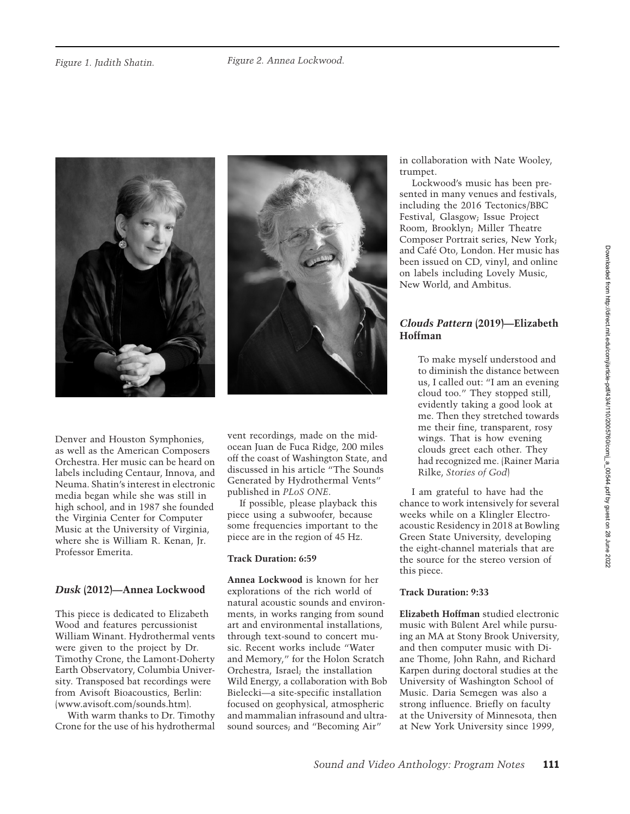



Denver and Houston Symphonies, as well as the American Composers Orchestra. Her music can be heard on labels including Centaur, Innova, and Neuma. Shatin's interest in electronic media began while she was still in high school, and in 1987 she founded the Virginia Center for Computer Music at the University of Virginia, where she is William R. Kenan, Jr. Professor Emerita.

# *Dusk* **(2012)—Annea Lockwood**

This piece is dedicated to Elizabeth Wood and features percussionist William Winant. Hydrothermal vents were given to the project by Dr. Timothy Crone, the Lamont-Doherty Earth Observatory, Columbia University. Transposed bat recordings were from Avisoft Bioacoustics, Berlin: (www.avisoft.com/sounds.htm).

With warm thanks to Dr. Timothy Crone for the use of his hydrothermal vent recordings, made on the midocean Juan de Fuca Ridge, 200 miles off the coast of Washington State, and discussed in his article "The Sounds Generated by Hydrothermal Vents" published in *PLoS ONE*.

If possible, please playback this piece using a subwoofer, because some frequencies important to the piece are in the region of 45 Hz.

## **Track Duration: 6:59**

**Annea Lockwood** is known for her explorations of the rich world of natural acoustic sounds and environments, in works ranging from sound art and environmental installations, through text-sound to concert music. Recent works include "Water and Memory," for the Holon Scratch Orchestra, Israel; the installation Wild Energy, a collaboration with Bob Bielecki—a site-specific installation focused on geophysical, atmospheric and mammalian infrasound and ultrasound sources; and "Becoming Air"

in collaboration with Nate Wooley, trumpet.

Lockwood's music has been presented in many venues and festivals, including the 2016 Tectonics/BBC Festival, Glasgow; Issue Project Room, Brooklyn; Miller Theatre Composer Portrait series, New York; and Cafe Oto, London. Her music has ´ been issued on CD, vinyl, and online on labels including Lovely Music, New World, and Ambitus.

# *Clouds Pattern* **(2019)—Elizabeth Hoffman**

To make myself understood and to diminish the distance between us, I called out: "I am an evening cloud too." They stopped still, evidently taking a good look at me. Then they stretched towards me their fine, transparent, rosy wings. That is how evening clouds greet each other. They had recognized me. (Rainer Maria Rilke, *Stories of God*)

I am grateful to have had the chance to work intensively for several weeks while on a Klingler Electroacoustic Residency in 2018 at Bowling Green State University, developing the eight-channel materials that are the source for the stereo version of this piece.

# **Track Duration: 9:33**

**Elizabeth Hoffman** studied electronic music with Bülent Arel while pursuing an MA at Stony Brook University, and then computer music with Diane Thome, John Rahn, and Richard Karpen during doctoral studies at the University of Washington School of Music. Daria Semegen was also a strong influence. Briefly on faculty at the University of Minnesota, then at New York University since 1999,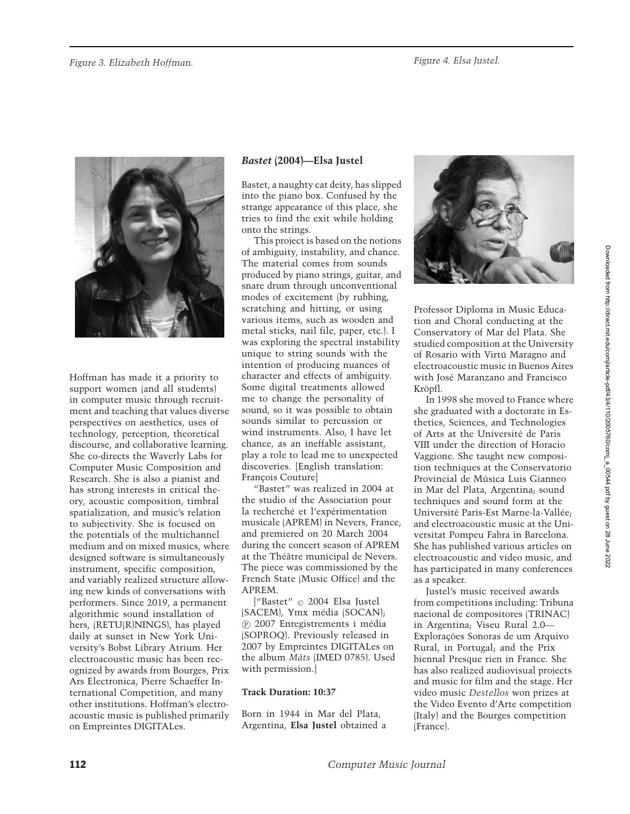

Hoffman has made it a priority to support women (and all students) in computer music through recruitment and teaching that values diverse perspectives on aesthetics, uses of technology, perception, theoretical discourse, and collaborative learning. She co-directs the Waverly Labs for Computer Music Composition and Research. She is also a pianist and has strong interests in critical theory, acoustic composition, timbral spatialization, and music's relation to subjectivity. She is focused on the potentials of the multichannel medium and on mixed musics, where designed software is simultaneously instrument, specific composition, and variably realized structure allowing new kinds of conversations with performers. Since 2019, a permanent algorithmic sound installation of hers, (RETU(R)NINGS), has played daily at sunset in New York University's Bobst Library Atrium. Her electroacoustic music has been recognized by awards from Bourges, Prix Ars Electronica, Pierre Schaeffer International Competition, and many other institutions. Hoffman's electroacoustic music is published primarily on Empreintes DIGITALes.

# *Bastet* **(2004)—Elsa Justel**

Bastet, a naughty cat deity, has slipped into the piano box. Confused by the strange appearance of this place, she tries to find the exit while holding onto the strings.

This project is based on the notions of ambiguity, instability, and chance. The material comes from sounds produced by piano strings, guitar, and snare drum through unconventional modes of excitement (by rubbing, scratching and hitting, or using various items, such as wooden and metal sticks, nail file, paper, etc.). I was exploring the spectral instability unique to string sounds with the intention of producing nuances of character and effects of ambiguity. Some digital treatments allowed me to change the personality of sound, so it was possible to obtain sounds similar to percussion or wind instruments. Also, I have let chance, as an ineffable assistant, play a role to lead me to unexpected discoveries. [English translation: François Couture]

"Bastet" was realized in 2004 at the studio of the Association pour la recherché et l'expérimentation musicale (APREM) in Nevers, France, and premiered on 20 March 2004 during the concert season of APREM at the Théâtre municipal de Nevers. The piece was commissioned by the French State (Music Office) and the APREM.

["Bastet"  $\odot$  2004 Elsa Justel (SACEM), Ymx média (SOCAN); <sup>P</sup> 2007 Enregistrements i media ´ (SOPROQ). Previously released in 2007 by Empreintes DIGITALes on the album *Mâts* (IMED 0785). Used with permission.]

## **Track Duration: 10:37**

Born in 1944 in Mar del Plata, Argentina, **Elsa Justel** obtained a



Professor Diploma in Music Education and Choral conducting at the Conservatory of Mar del Plata. She studied composition at the University of Rosario with Virtú Maragno and electroacoustic music in Buenos Aires with José Maranzano and Francisco Kröpfl.

In 1998 she moved to France where she graduated with a doctorate in Esthetics, Sciences, and Technologies of Arts at the Universite de Paris ´ VIII under the direction of Horacio Vaggione. She taught new composition techniques at the Conservatorio Provincial de Música Luis Gianneo in Mar del Plata, Argentina; sound techniques and sound form at the Université Paris-Est Marne-la-Vallée; and electroacoustic music at the Universitat Pompeu Fabra in Barcelona. She has published various articles on electroacoustic and video music, and has participated in many conferences as a speaker.

Justel's music received awards from competitions including: Tribuna nacional de compositores (TRINAC) in Argentina; Viseu Rural 2.0— Explorações Sonoras de um Arquivo Rural, in Portugal; and the Prix biennal Presque rien in France. She has also realized audiovisual projects and music for film and the stage. Her video music *Destellos* won prizes at the Video Evento d'Arte competition (Italy) and the Bourges competition (France).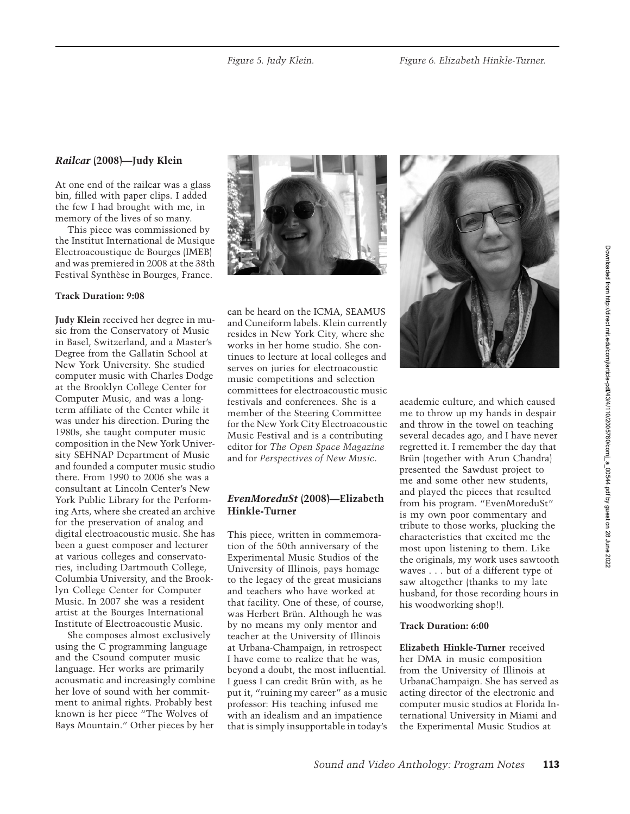# *Railcar* **(2008)—Judy Klein**

At one end of the railcar was a glass bin, filled with paper clips. I added the few I had brought with me, in memory of the lives of so many.

This piece was commissioned by the Institut International de Musique Electroacoustique de Bourges (IMEB) and was premiered in 2008 at the 38th Festival Synthèse in Bourges, France.

## **Track Duration: 9:08**

**Judy Klein** received her degree in music from the Conservatory of Music in Basel, Switzerland, and a Master's Degree from the Gallatin School at New York University. She studied computer music with Charles Dodge at the Brooklyn College Center for Computer Music, and was a longterm affiliate of the Center while it was under his direction. During the 1980s, she taught computer music composition in the New York University SEHNAP Department of Music and founded a computer music studio there. From 1990 to 2006 she was a consultant at Lincoln Center's New York Public Library for the Performing Arts, where she created an archive for the preservation of analog and digital electroacoustic music. She has been a guest composer and lecturer at various colleges and conservatories, including Dartmouth College, Columbia University, and the Brooklyn College Center for Computer Music. In 2007 she was a resident artist at the Bourges International Institute of Electroacoustic Music.

She composes almost exclusively using the C programming language and the Csound computer music language. Her works are primarily acousmatic and increasingly combine her love of sound with her commitment to animal rights. Probably best known is her piece "The Wolves of Bays Mountain." Other pieces by her



can be heard on the ICMA, SEAMUS and Cuneiform labels. Klein currently resides in New York City, where she works in her home studio. She continues to lecture at local colleges and serves on juries for electroacoustic music competitions and selection committees for electroacoustic music festivals and conferences. She is a member of the Steering Committee for the New York City Electroacoustic Music Festival and is a contributing editor for *The Open Space Magazine* and for *Perspectives of New Music*.

## *EvenMoreduSt* **(2008)—Elizabeth Hinkle-Turner**

This piece, written in commemoration of the 50th anniversary of the Experimental Music Studios of the University of Illinois, pays homage to the legacy of the great musicians and teachers who have worked at that facility. One of these, of course, was Herbert Brün. Although he was by no means my only mentor and teacher at the University of Illinois at Urbana-Champaign, in retrospect I have come to realize that he was, beyond a doubt, the most influential. I guess I can credit Brün with, as he put it, "ruining my career" as a music professor: His teaching infused me with an idealism and an impatience that is simply insupportable in today's



academic culture, and which caused me to throw up my hands in despair and throw in the towel on teaching several decades ago, and I have never regretted it. I remember the day that Brün (together with Arun Chandra) presented the Sawdust project to me and some other new students, and played the pieces that resulted from his program. "EvenMoreduSt" is my own poor commentary and tribute to those works, plucking the characteristics that excited me the most upon listening to them. Like the originals, my work uses sawtooth waves . . . but of a different type of saw altogether (thanks to my late husband, for those recording hours in his woodworking shop!).

#### **Track Duration: 6:00**

**Elizabeth Hinkle-Turner** received her DMA in music composition from the University of Illinois at UrbanaChampaign. She has served as acting director of the electronic and computer music studios at Florida International University in Miami and the Experimental Music Studios at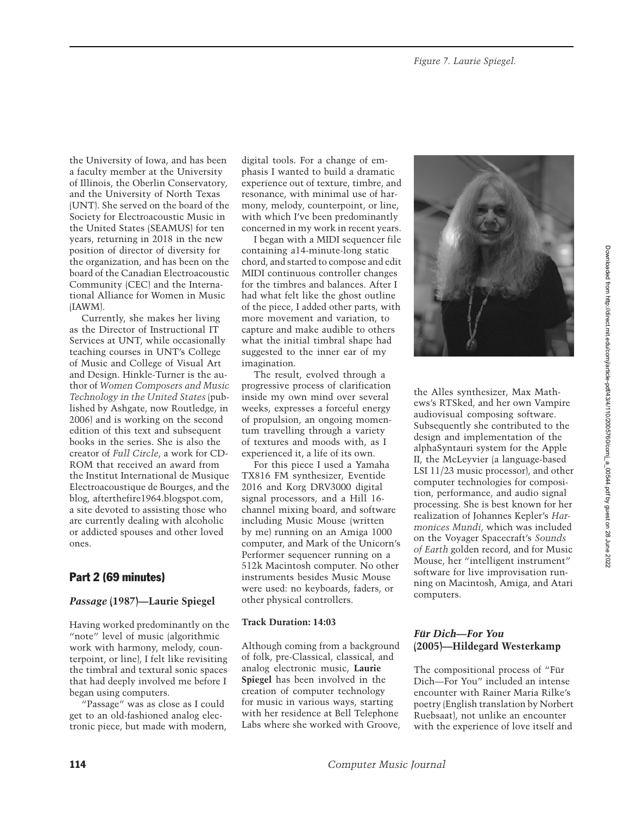the University of Iowa, and has been a faculty member at the University of Illinois, the Oberlin Conservatory, and the University of North Texas (UNT). She served on the board of the Society for Electroacoustic Music in the United States (SEAMUS) for ten years, returning in 2018 in the new position of director of diversity for the organization, and has been on the board of the Canadian Electroacoustic Community (CEC) and the International Alliance for Women in Music (IAWM).

Currently, she makes her living as the Director of Instructional IT Services at UNT, while occasionally teaching courses in UNT's College of Music and College of Visual Art and Design. Hinkle-Turner is the author of *Women Composers and Music Technology in the United States* (published by Ashgate, now Routledge, in 2006) and is working on the second edition of this text and subsequent books in the series. She is also the creator of *Full Circle*, a work for CD-ROM that received an award from the Institut International de Musique Electroacoustique de Bourges, and the blog, afterthefire1964.blogspot.com, a site devoted to assisting those who are currently dealing with alcoholic or addicted spouses and other loved ones.

# Part 2 (69 minutes)

## *Passage* **(1987)—Laurie Spiegel**

Having worked predominantly on the "note" level of music (algorithmic work with harmony, melody, counterpoint, or line), I felt like revisiting the timbral and textural sonic spaces that had deeply involved me before I began using computers.

"Passage" was as close as I could get to an old-fashioned analog electronic piece, but made with modern, digital tools. For a change of emphasis I wanted to build a dramatic experience out of texture, timbre, and resonance, with minimal use of harmony, melody, counterpoint, or line, with which I've been predominantly concerned in my work in recent years.

I began with a MIDI sequencer file containing a14-minute-long static chord, and started to compose and edit MIDI continuous controller changes for the timbres and balances. After I had what felt like the ghost outline of the piece, I added other parts, with more movement and variation, to capture and make audible to others what the initial timbral shape had suggested to the inner ear of my imagination.

The result, evolved through a progressive process of clarification inside my own mind over several weeks, expresses a forceful energy of propulsion, an ongoing momentum travelling through a variety of textures and moods with, as I experienced it, a life of its own.

For this piece I used a Yamaha TX816 FM synthesizer, Eventide 2016 and Korg DRV3000 digital signal processors, and a Hill 16 channel mixing board, and software including Music Mouse (written by me) running on an Amiga 1000 computer, and Mark of the Unicorn's Performer sequencer running on a 512k Macintosh computer. No other instruments besides Music Mouse were used: no keyboards, faders, or other physical controllers.

#### **Track Duration: 14:03**

Although coming from a background of folk, pre-Classical, classical, and analog electronic music, **Laurie Spiegel** has been involved in the creation of computer technology for music in various ways, starting with her residence at Bell Telephone Labs where she worked with Groove,



the Alles synthesizer, Max Mathews's RTSked, and her own Vampire audiovisual composing software. Subsequently she contributed to the design and implementation of the alphaSyntauri system for the Apple II, the McLeyvier (a language-based LSI 11/23 music processor), and other computer technologies for composition, performance, and audio signal processing. She is best known for her realization of Johannes Kepler's *Harmonices Mundi*, which was included on the Voyager Spacecraft's *Sounds of Earth* golden record, and for Music Mouse, her "intelligent instrument" software for live improvisation running on Macintosh, Amiga, and Atari computers.

## **Für Dich—For You (2005)—Hildegard Westerkamp**

The compositional process of "Für Dich—For You" included an intense encounter with Rainer Maria Rilke's poetry (English translation by Norbert Ruebsaat), not unlike an encounter with the experience of love itself and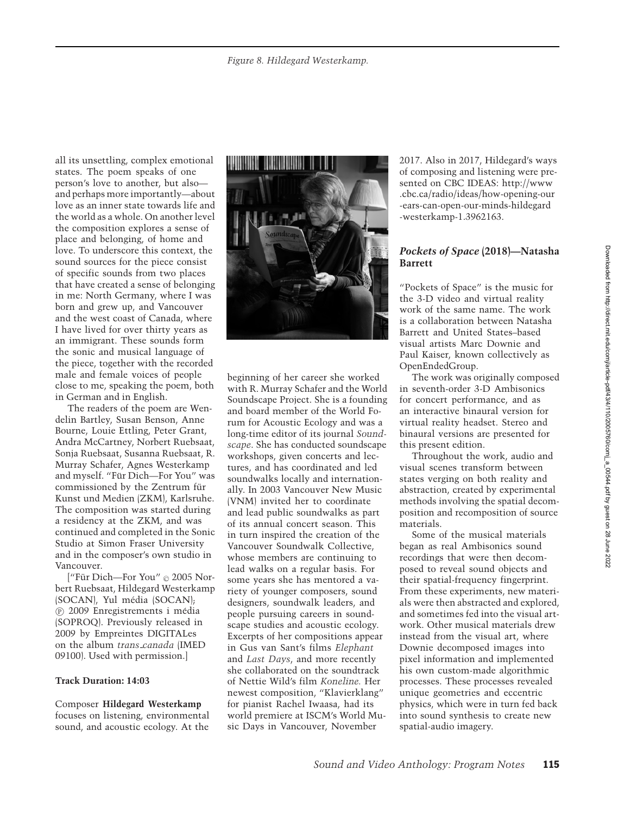all its unsettling, complex emotional states. The poem speaks of one person's love to another, but also and perhaps more importantly—about love as an inner state towards life and the world as a whole. On another level the composition explores a sense of place and belonging, of home and love. To underscore this context, the sound sources for the piece consist of specific sounds from two places that have created a sense of belonging in me: North Germany, where I was born and grew up, and Vancouver and the west coast of Canada, where I have lived for over thirty years as an immigrant. These sounds form the sonic and musical language of the piece, together with the recorded male and female voices of people close to me, speaking the poem, both in German and in English.

The readers of the poem are Wendelin Bartley, Susan Benson, Anne Bourne, Louie Ettling, Peter Grant, Andra McCartney, Norbert Ruebsaat, Sonja Ruebsaat, Susanna Ruebsaat, R. Murray Schafer, Agnes Westerkamp and myself. "Für Dich-For You" was commissioned by the Zentrum für Kunst und Medien (ZKM), Karlsruhe. The composition was started during a residency at the ZKM, and was continued and completed in the Sonic Studio at Simon Fraser University and in the composer's own studio in Vancouver.

["Für Dich—For You" © 2005 Norbert Ruebsaat, Hildegard Westerkamp (SOCAN), Yul média (SOCAN); <sup>P</sup> 2009 Enregistrements i media ´ (SOPROQ). Previously released in 2009 by Empreintes DIGITALes on the album *trans canada* (IMED 09100). Used with permission.]

#### **Track Duration: 14:03**

Composer **Hildegard Westerkamp** focuses on listening, environmental sound, and acoustic ecology. At the



beginning of her career she worked with R. Murray Schafer and the World Soundscape Project. She is a founding and board member of the World Forum for Acoustic Ecology and was a long-time editor of its journal *Soundscape*. She has conducted soundscape workshops, given concerts and lectures, and has coordinated and led soundwalks locally and internationally. In 2003 Vancouver New Music (VNM) invited her to coordinate and lead public soundwalks as part of its annual concert season. This in turn inspired the creation of the Vancouver Soundwalk Collective, whose members are continuing to lead walks on a regular basis. For some years she has mentored a variety of younger composers, sound designers, soundwalk leaders, and people pursuing careers in soundscape studies and acoustic ecology. Excerpts of her compositions appear in Gus van Sant's films *Elephant* and *Last Days*, and more recently she collaborated on the soundtrack of Nettie Wild's film *Koneline.* Her newest composition, "Klavierklang" for pianist Rachel Iwaasa, had its world premiere at ISCM's World Music Days in Vancouver, November

2017. Also in 2017, Hildegard's ways of composing and listening were presented on CBC IDEAS: http://www .cbc.ca/radio/ideas/how-opening-our -ears-can-open-our-minds-hildegard -westerkamp-1.3962163.

## *Pockets of Space* **(2018)—Natasha Barrett**

"Pockets of Space" is the music for the 3-D video and virtual reality work of the same name. The work is a collaboration between Natasha Barrett and United States–based visual artists Marc Downie and Paul Kaiser, known collectively as OpenEndedGroup.

The work was originally composed in seventh-order 3-D Ambisonics for concert performance, and as an interactive binaural version for virtual reality headset. Stereo and binaural versions are presented for this present edition.

Throughout the work, audio and visual scenes transform between states verging on both reality and abstraction, created by experimental methods involving the spatial decomposition and recomposition of source materials.

Some of the musical materials began as real Ambisonics sound recordings that were then decomposed to reveal sound objects and their spatial-frequency fingerprint. From these experiments, new materials were then abstracted and explored, and sometimes fed into the visual artwork. Other musical materials drew instead from the visual art, where Downie decomposed images into pixel information and implemented his own custom-made algorithmic processes. These processes revealed unique geometries and eccentric physics, which were in turn fed back into sound synthesis to create new spatial-audio imagery.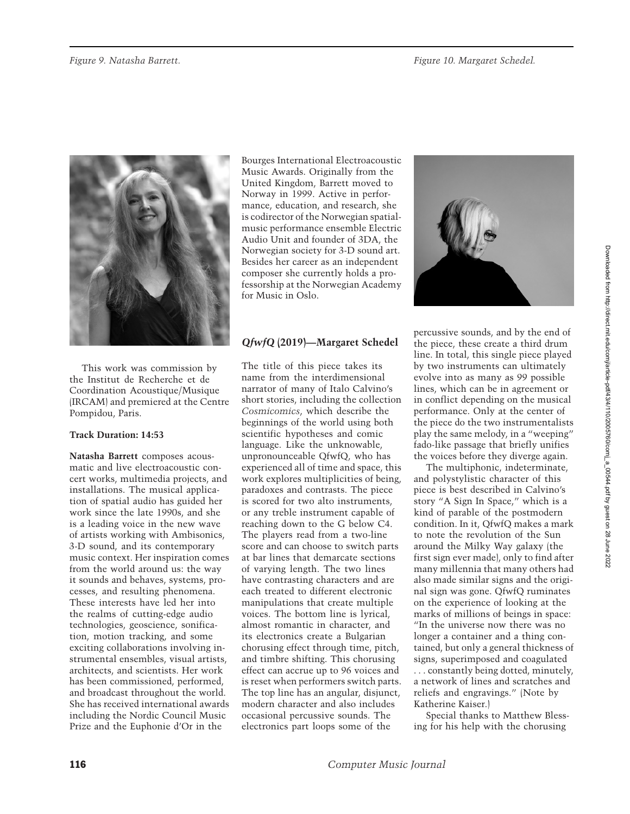

This work was commission by the Institut de Recherche et de Coordination Acoustique/Musique (IRCAM) and premiered at the Centre Pompidou, Paris.

## **Track Duration: 14:53**

**Natasha Barrett** composes acousmatic and live electroacoustic concert works, multimedia projects, and installations. The musical application of spatial audio has guided her work since the late 1990s, and she is a leading voice in the new wave of artists working with Ambisonics, 3-D sound, and its contemporary music context. Her inspiration comes from the world around us: the way it sounds and behaves, systems, processes, and resulting phenomena. These interests have led her into the realms of cutting-edge audio technologies, geoscience, sonification, motion tracking, and some exciting collaborations involving instrumental ensembles, visual artists, architects, and scientists. Her work has been commissioned, performed, and broadcast throughout the world. She has received international awards including the Nordic Council Music Prize and the Euphonie d'Or in the

Bourges International Electroacoustic Music Awards. Originally from the United Kingdom, Barrett moved to Norway in 1999. Active in performance, education, and research, she is codirector of the Norwegian spatialmusic performance ensemble Electric Audio Unit and founder of 3DA, the Norwegian society for 3-D sound art. Besides her career as an independent composer she currently holds a professorship at the Norwegian Academy for Music in Oslo.

# *QfwfQ* **(2019)—Margaret Schedel**

The title of this piece takes its name from the interdimensional narrator of many of Italo Calvino's short stories, including the collection *Cosmicomics*, which describe the beginnings of the world using both scientific hypotheses and comic language. Like the unknowable, unpronounceable QfwfQ, who has experienced all of time and space, this work explores multiplicities of being, paradoxes and contrasts. The piece is scored for two alto instruments, or any treble instrument capable of reaching down to the G below C4. The players read from a two-line score and can choose to switch parts at bar lines that demarcate sections of varying length. The two lines have contrasting characters and are each treated to different electronic manipulations that create multiple voices. The bottom line is lyrical, almost romantic in character, and its electronics create a Bulgarian chorusing effect through time, pitch, and timbre shifting. This chorusing effect can accrue up to 96 voices and is reset when performers switch parts. The top line has an angular, disjunct, modern character and also includes occasional percussive sounds. The electronics part loops some of the



percussive sounds, and by the end of the piece, these create a third drum line. In total, this single piece played by two instruments can ultimately evolve into as many as 99 possible lines, which can be in agreement or in conflict depending on the musical performance. Only at the center of the piece do the two instrumentalists play the same melody, in a "weeping" fado-like passage that briefly unifies the voices before they diverge again.

The multiphonic, indeterminate, and polystylistic character of this piece is best described in Calvino's story "A Sign In Space," which is a kind of parable of the postmodern condition. In it, QfwfQ makes a mark to note the revolution of the Sun around the Milky Way galaxy (the first sign ever made), only to find after many millennia that many others had also made similar signs and the original sign was gone. QfwfQ ruminates on the experience of looking at the marks of millions of beings in space: "In the universe now there was no longer a container and a thing contained, but only a general thickness of signs, superimposed and coagulated . . . constantly being dotted, minutely, a network of lines and scratches and reliefs and engravings." (Note by Katherine Kaiser.)

Special thanks to Matthew Blessing for his help with the chorusing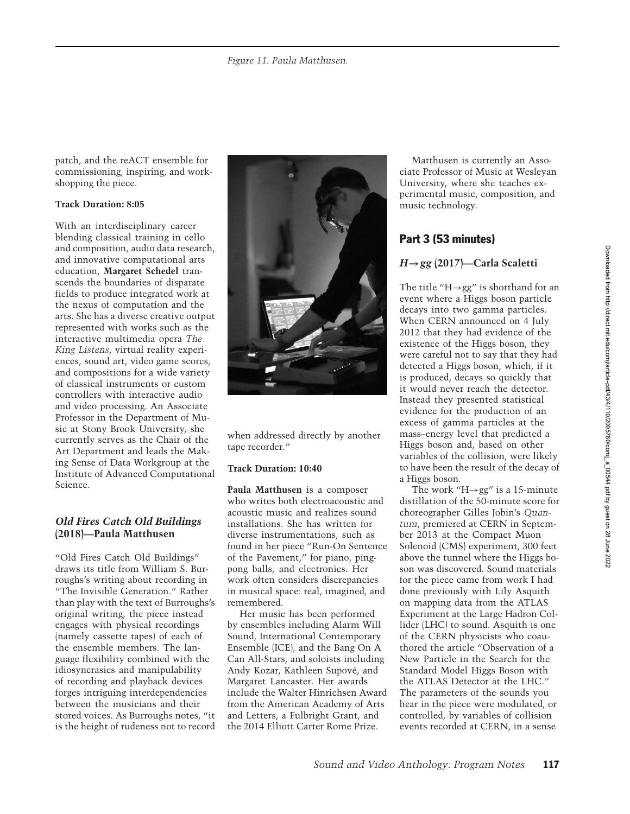patch, and the reACT ensemble for commissioning, inspiring, and workshopping the piece.

## **Track Duration: 8:05**

With an interdisciplinary career blending classical training in cello and composition, audio data research, and innovative computational arts education, **Margaret Schedel** transcends the boundaries of disparate fields to produce integrated work at the nexus of computation and the arts. She has a diverse creative output represented with works such as the interactive multimedia opera *The King Listens*, virtual reality experiences, sound art, video game scores, and compositions for a wide variety of classical instruments or custom controllers with interactive audio and video processing. An Associate Professor in the Department of Music at Stony Brook University, she currently serves as the Chair of the Art Department and leads the Making Sense of Data Workgroup at the Institute of Advanced Computational Science.

## *Old Fires Catch Old Buildings* **(2018)—Paula Matthusen**

"Old Fires Catch Old Buildings" draws its title from William S. Burroughs's writing about recording in "The Invisible Generation." Rather than play with the text of Burroughs's original writing, the piece instead engages with physical recordings (namely cassette tapes) of each of the ensemble members. The language flexibility combined with the idiosyncrasies and manipulability of recording and playback devices forges intriguing interdependencies between the musicians and their stored voices. As Burroughs notes, "it is the height of rudeness not to record



when addressed directly by another tape recorder."

#### **Track Duration: 10:40**

**Paula Matthusen** is a composer who writes both electroacoustic and acoustic music and realizes sound installations. She has written for diverse instrumentations, such as found in her piece "Run-On Sentence of the Pavement," for piano, pingpong balls, and electronics. Her work often considers discrepancies in musical space: real, imagined, and remembered.

Her music has been performed by ensembles including Alarm Will Sound, International Contemporary Ensemble (ICE), and the Bang On A Can All-Stars, and soloists including Andy Kozar, Kathleen Supove, and ´ Margaret Lancaster. Her awards include the Walter Hinrichsen Award from the American Academy of Arts and Letters, a Fulbright Grant, and the 2014 Elliott Carter Rome Prize.

Matthusen is currently an Associate Professor of Music at Wesleyan University, where she teaches experimental music, composition, and music technology.

# Part 3 (53 minutes)

# *H***→***gg* **(2017)—Carla Scaletti**

The title "H $\rightarrow$ gg" is shorthand for an event where a Higgs boson particle decays into two gamma particles. When CERN announced on 4 July 2012 that they had evidence of the existence of the Higgs boson, they were careful not to say that they had detected a Higgs boson, which, if it is produced, decays so quickly that it would never reach the detector. Instead they presented statistical evidence for the production of an excess of gamma particles at the mass–energy level that predicted a Higgs boson and, based on other variables of the collision, were likely to have been the result of the decay of a Higgs boson.

The work "H $\rightarrow$ gg" is a 15-minute distillation of the 50-minute score for choreographer Gilles Jobin's *Quantum*, premiered at CERN in September 2013 at the Compact Muon Solenoid (CMS) experiment, 300 feet above the tunnel where the Higgs boson was discovered. Sound materials for the piece came from work I had done previously with Lily Asquith on mapping data from the ATLAS Experiment at the Large Hadron Collider (LHC) to sound. Asquith is one of the CERN physicists who coauthored the article "Observation of a New Particle in the Search for the Standard Model Higgs Boson with the ATLAS Detector at the LHC." The parameters of the sounds you hear in the piece were modulated, or controlled, by variables of collision events recorded at CERN, in a sense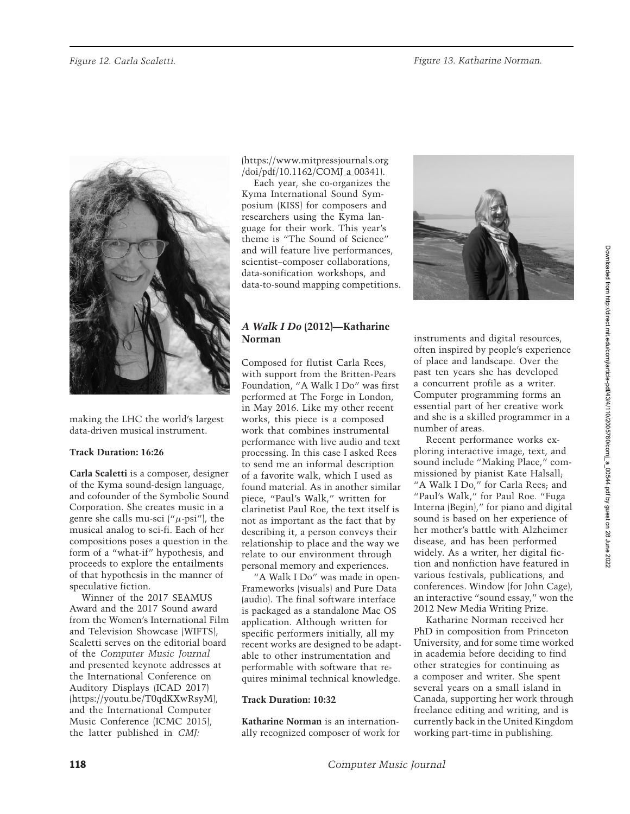

making the LHC the world's largest data-driven musical instrument.

## **Track Duration: 16:26**

**Carla Scaletti** is a composer, designer of the Kyma sound-design language, and cofounder of the Symbolic Sound Corporation. She creates music in a genre she calls mu-sci  $(^\mu \mu$ -psi"), the musical analog to sci-fi. Each of her compositions poses a question in the form of a "what-if" hypothesis, and proceeds to explore the entailments of that hypothesis in the manner of speculative fiction.

Winner of the 2017 SEAMUS Award and the 2017 Sound award from the Women's International Film and Television Showcase (WIFTS), Scaletti serves on the editorial board of the *Computer Music Journal* and presented keynote addresses at the International Conference on Auditory Displays (ICAD 2017) (https://youtu.be/T0qdKXwRsyM), and the International Computer Music Conference (ICMC 2015), the latter published in *CMJ:*

(https://www.mitpressjournals.org /doi/pdf/10.1162/COMJ a 00341).

Each year, she co-organizes the Kyma International Sound Symposium (KISS) for composers and researchers using the Kyma language for their work. This year's theme is "The Sound of Science" and will feature live performances, scientist–composer collaborations, data-sonification workshops, and data-to-sound mapping competitions.

# *A Walk I Do* **(2012)—Katharine Norman**

Composed for flutist Carla Rees, with support from the Britten-Pears Foundation, "A Walk I Do" was first performed at The Forge in London, in May 2016. Like my other recent works, this piece is a composed work that combines instrumental performance with live audio and text processing. In this case I asked Rees to send me an informal description of a favorite walk, which I used as found material. As in another similar piece, "Paul's Walk," written for clarinetist Paul Roe, the text itself is not as important as the fact that by describing it, a person conveys their relationship to place and the way we relate to our environment through personal memory and experiences.

"A Walk I Do" was made in open-Frameworks (visuals) and Pure Data (audio). The final software interface is packaged as a standalone Mac OS application. Although written for specific performers initially, all my recent works are designed to be adaptable to other instrumentation and performable with software that requires minimal technical knowledge.

#### **Track Duration: 10:32**

**Katharine Norman** is an internationally recognized composer of work for



instruments and digital resources, often inspired by people's experience of place and landscape. Over the past ten years she has developed a concurrent profile as a writer. Computer programming forms an essential part of her creative work and she is a skilled programmer in a number of areas.

Recent performance works exploring interactive image, text, and sound include "Making Place," commissioned by pianist Kate Halsall; "A Walk I Do," for Carla Rees; and "Paul's Walk," for Paul Roe. "Fuga Interna (Begin)," for piano and digital sound is based on her experience of her mother's battle with Alzheimer disease, and has been performed widely. As a writer, her digital fiction and nonfiction have featured in various festivals, publications, and conferences. Window (for John Cage), an interactive "sound essay," won the 2012 New Media Writing Prize.

Katharine Norman received her PhD in composition from Princeton University, and for some time worked in academia before deciding to find other strategies for continuing as a composer and writer. She spent several years on a small island in Canada, supporting her work through freelance editing and writing, and is currently back in the United Kingdom working part-time in publishing.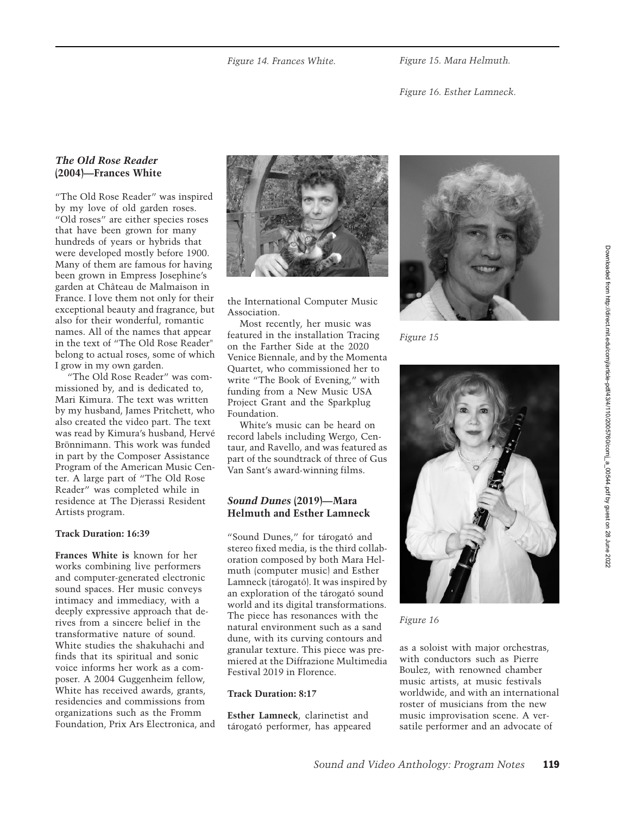*Figure 15. Mara Helmuth.*

*Figure 16. Esther Lamneck.*

## *The Old Rose Reader* **(2004)—Frances White**

"The Old Rose Reader" was inspired by my love of old garden roses. "Old roses" are either species roses that have been grown for many hundreds of years or hybrids that were developed mostly before 1900. Many of them are famous for having been grown in Empress Josephine's garden at Château de Malmaison in France. I love them not only for their exceptional beauty and fragrance, but also for their wonderful, romantic names. All of the names that appear in the text of "The Old Rose Reader" belong to actual roses, some of which I grow in my own garden.

"The Old Rose Reader" was commissioned by, and is dedicated to, Mari Kimura. The text was written by my husband, James Pritchett, who also created the video part. The text was read by Kimura's husband, Herve´ Brönnimann. This work was funded in part by the Composer Assistance Program of the American Music Center. A large part of "The Old Rose Reader" was completed while in residence at The Djerassi Resident Artists program.

#### **Track Duration: 16:39**

**Frances White is** known for her works combining live performers and computer-generated electronic sound spaces. Her music conveys intimacy and immediacy, with a deeply expressive approach that derives from a sincere belief in the transformative nature of sound. White studies the shakuhachi and finds that its spiritual and sonic voice informs her work as a composer. A 2004 Guggenheim fellow, White has received awards, grants, residencies and commissions from organizations such as the Fromm Foundation, Prix Ars Electronica, and



the International Computer Music Association.

Most recently, her music was featured in the installation Tracing on the Farther Side at the 2020 Venice Biennale, and by the Momenta Quartet, who commissioned her to write "The Book of Evening," with funding from a New Music USA Project Grant and the Sparkplug Foundation.

White's music can be heard on record labels including Wergo, Centaur, and Ravello, and was featured as part of the soundtrack of three of Gus Van Sant's award-winning films.

## *Sound Dunes* **(2019)—Mara Helmuth and Esther Lamneck**

"Sound Dunes," for tárogató and stereo fixed media, is the third collaboration composed by both Mara Helmuth (computer music) and Esther Lamneck (tárogató). It was inspired by an exploration of the tárogató sound world and its digital transformations. The piece has resonances with the natural environment such as a sand dune, with its curving contours and granular texture. This piece was premiered at the Diffrazione Multimedia Festival 2019 in Florence.

#### **Track Duration: 8:17**

**Esther Lamneck**, clarinetist and tárogató performer, has appeared



*Figure 15*



*Figure 16*

as a soloist with major orchestras, with conductors such as Pierre Boulez, with renowned chamber music artists, at music festivals worldwide, and with an international roster of musicians from the new music improvisation scene. A versatile performer and an advocate of